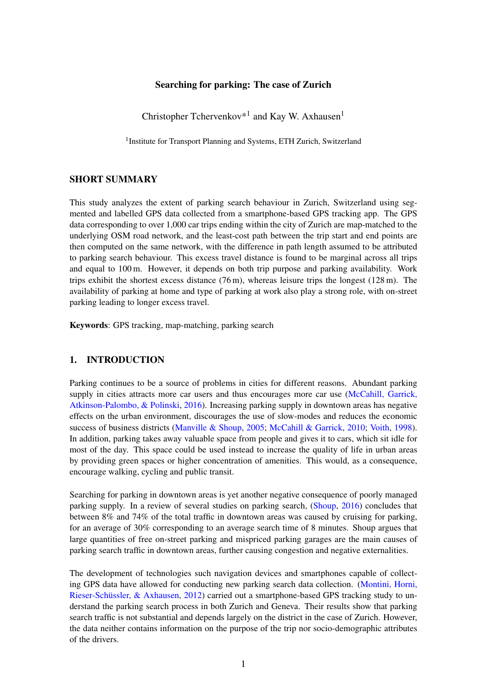### Searching for parking: The case of Zurich

Christopher Tchervenkov<sup>\*1</sup> and Kay W. Axhausen<sup>1</sup>

<sup>1</sup> Institute for Transport Planning and Systems, ETH Zurich, Switzerland

#### SHORT SUMMARY

This study analyzes the extent of parking search behaviour in Zurich, Switzerland using segmented and labelled GPS data collected from a smartphone-based GPS tracking app. The GPS data corresponding to over 1,000 car trips ending within the city of Zurich are map-matched to the underlying OSM road network, and the least-cost path between the trip start and end points are then computed on the same network, with the difference in path length assumed to be attributed to parking search behaviour. This excess travel distance is found to be marginal across all trips and equal to 100 m. However, it depends on both trip purpose and parking availability. Work trips exhibit the shortest excess distance  $(76 \text{ m})$ , whereas leisure trips the longest  $(128 \text{ m})$ . The availability of parking at home and type of parking at work also play a strong role, with on-street parking leading to longer excess travel.

Keywords: GPS tracking, map-matching, parking search

#### 1. INTRODUCTION

Parking continues to be a source of problems in cities for different reasons. Abundant parking supply in cities attracts more car users and thus encourages more car use [\(McCahill, Garrick,](#page-4-0) [Atkinson-Palombo, & Polinski,](#page-4-0) [2016\)](#page-4-0). Increasing parking supply in downtown areas has negative effects on the urban environment, discourages the use of slow-modes and reduces the economic success of business districts [\(Manville & Shoup,](#page-4-1) [2005;](#page-4-1) [McCahill & Garrick,](#page-5-0) [2010;](#page-5-0) [Voith,](#page-5-1) [1998\)](#page-5-1). In addition, parking takes away valuable space from people and gives it to cars, which sit idle for most of the day. This space could be used instead to increase the quality of life in urban areas by providing green spaces or higher concentration of amenities. This would, as a consequence, encourage walking, cycling and public transit.

Searching for parking in downtown areas is yet another negative consequence of poorly managed parking supply. In a review of several studies on parking search, [\(Shoup,](#page-5-2) [2016\)](#page-5-2) concludes that between 8% and 74% of the total traffic in downtown areas was caused by cruising for parking, for an average of 30% corresponding to an average search time of 8 minutes. Shoup argues that large quantities of free on-street parking and mispriced parking garages are the main causes of parking search traffic in downtown areas, further causing congestion and negative externalities.

The development of technologies such navigation devices and smartphones capable of collecting GPS data have allowed for conducting new parking search data collection. [\(Montini, Horni,](#page-5-3) [Rieser-Schüssler, & Axhausen,](#page-5-3) [2012\)](#page-5-3) carried out a smartphone-based GPS tracking study to understand the parking search process in both Zurich and Geneva. Their results show that parking search traffic is not substantial and depends largely on the district in the case of Zurich. However, the data neither contains information on the purpose of the trip nor socio-demographic attributes of the drivers.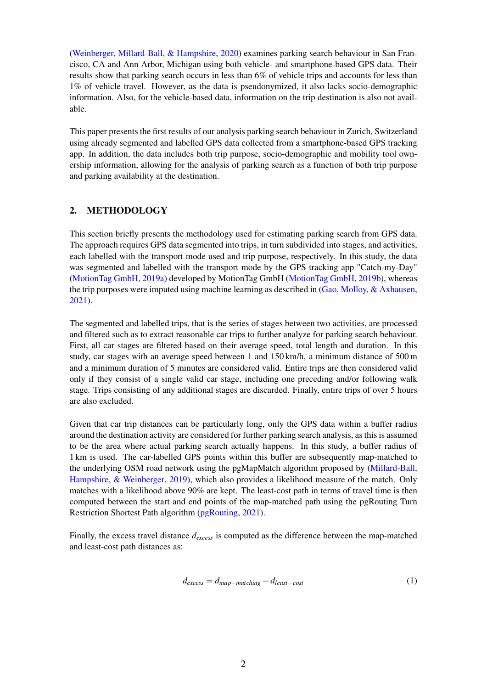[\(Weinberger, Millard-Ball, & Hampshire,](#page-5-4) [2020\)](#page-5-4) examines parking search behaviour in San Francisco, CA and Ann Arbor, Michigan using both vehicle- and smartphone-based GPS data. Their results show that parking search occurs in less than 6% of vehicle trips and accounts for less than 1% of vehicle travel. However, as the data is pseudonymized, it also lacks socio-demographic information. Also, for the vehicle-based data, information on the trip destination is also not available.

This paper presents the first results of our analysis parking search behaviour in Zurich, Switzerland using already segmented and labelled GPS data collected from a smartphone-based GPS tracking app. In addition, the data includes both trip purpose, socio-demographic and mobility tool ownership information, allowing for the analysis of parking search as a function of both trip purpose and parking availability at the destination.

## 2. METHODOLOGY

This section briefly presents the methodology used for estimating parking search from GPS data. The approach requires GPS data segmented into trips, in turn subdivided into stages, and activities, each labelled with the transport mode used and trip purpose, respectively. In this study, the data was segmented and labelled with the transport mode by the GPS tracking app "Catch-my-Day" [\(MotionTag GmbH,](#page-5-5) [2019a\)](#page-5-5) developed by MotionTag GmbH [\(MotionTag GmbH,](#page-5-6) [2019b\)](#page-5-6), whereas the trip purposes were imputed using machine learning as described in [\(Gao, Molloy, & Axhausen,](#page-4-2) [2021\)](#page-4-2).

The segmented and labelled trips, that is the series of stages between two activities, are processed and filtered such as to extract reasonable car trips to further analyze for parking search behaviour. First, all car stages are filtered based on their average speed, total length and duration. In this study, car stages with an average speed between 1 and 150 km/h, a minimum distance of 500 m and a minimum duration of 5 minutes are considered valid. Entire trips are then considered valid only if they consist of a single valid car stage, including one preceding and/or following walk stage. Trips consisting of any additional stages are discarded. Finally, entire trips of over 5 hours are also excluded.

Given that car trip distances can be particularly long, only the GPS data within a buffer radius around the destination activity are considered for further parking search analysis, as this is assumed to be the area where actual parking search actually happens. In this study, a buffer radius of 1 km is used. The car-labelled GPS points within this buffer are subsequently map-matched to the underlying OSM road network using the pgMapMatch algorithm proposed by [\(Millard-Ball,](#page-5-7) [Hampshire, & Weinberger,](#page-5-7) [2019\)](#page-5-7), which also provides a likelihood measure of the match. Only matches with a likelihood above 90% are kept. The least-cost path in terms of travel time is then computed between the start and end points of the map-matched path using the pgRouting Turn Restriction Shortest Path algorithm [\(pgRouting,](#page-5-8) [2021\)](#page-5-8).

Finally, the excess travel distance *dexcess* is computed as the difference between the map-matched and least-cost path distances as:

<span id="page-1-0"></span>
$$
d_{excess} = d_{map-matching} - d_{least-cost}
$$
 (1)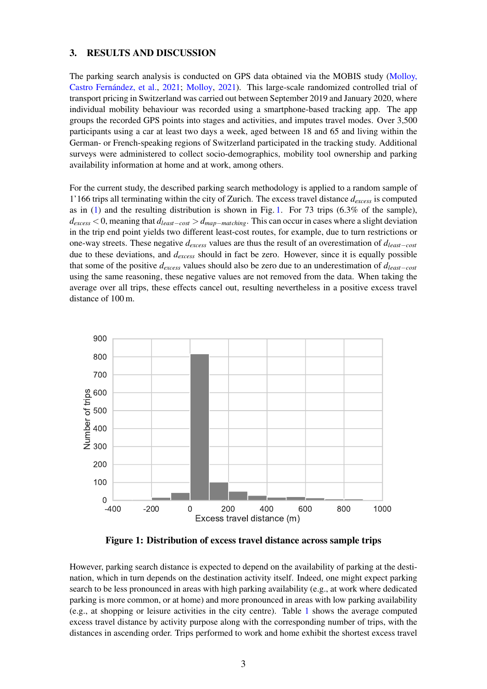#### 3. RESULTS AND DISCUSSION

The parking search analysis is conducted on GPS data obtained via the MOBIS study [\(Molloy,](#page-5-9) [Castro Fernández, et al.,](#page-5-9) [2021;](#page-5-9) [Molloy,](#page-5-10) [2021\)](#page-5-10). This large-scale randomized controlled trial of transport pricing in Switzerland was carried out between September 2019 and January 2020, where individual mobility behaviour was recorded using a smartphone-based tracking app. The app groups the recorded GPS points into stages and activities, and imputes travel modes. Over 3,500 participants using a car at least two days a week, aged between 18 and 65 and living within the German- or French-speaking regions of Switzerland participated in the tracking study. Additional surveys were administered to collect socio-demographics, mobility tool ownership and parking availability information at home and at work, among others.

For the current study, the described parking search methodology is applied to a random sample of 1'166 trips all terminating within the city of Zurich. The excess travel distance *dexcess* is computed as in  $(1)$  and the resulting distribution is shown in Fig. [1.](#page-2-0) For 73 trips  $(6.3\%$  of the sample), *dexcess* < 0, meaning that *dleast*−*cost* > *dmap*−*matching*. This can occur in cases where a slight deviation in the trip end point yields two different least-cost routes, for example, due to turn restrictions or one-way streets. These negative *dexcess* values are thus the result of an overestimation of *dleast*−*cost* due to these deviations, and *dexcess* should in fact be zero. However, since it is equally possible that some of the positive *dexcess* values should also be zero due to an underestimation of *dleast*−*cost* using the same reasoning, these negative values are not removed from the data. When taking the average over all trips, these effects cancel out, resulting nevertheless in a positive excess travel distance of 100 m.

<span id="page-2-0"></span>

Figure 1: Distribution of excess travel distance across sample trips

However, parking search distance is expected to depend on the availability of parking at the destination, which in turn depends on the destination activity itself. Indeed, one might expect parking search to be less pronounced in areas with high parking availability (e.g., at work where dedicated parking is more common, or at home) and more pronounced in areas with low parking availability (e.g., at shopping or leisure activities in the city centre). Table [1](#page-3-0) shows the average computed excess travel distance by activity purpose along with the corresponding number of trips, with the distances in ascending order. Trips performed to work and home exhibit the shortest excess travel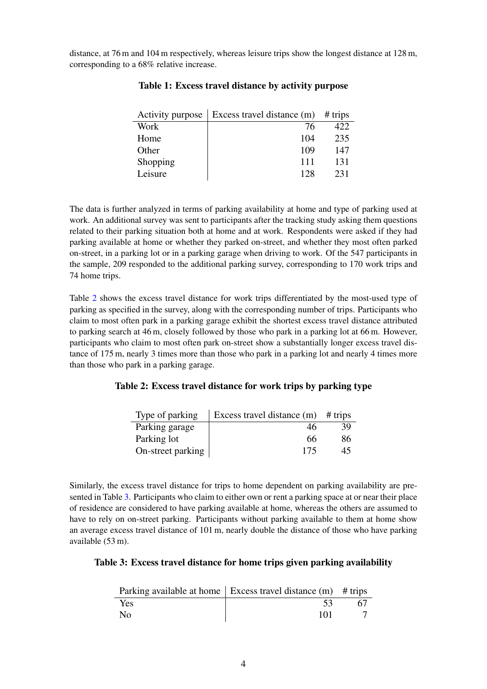<span id="page-3-0"></span>distance, at 76 m and 104 m respectively, whereas leisure trips show the longest distance at 128 m, corresponding to a 68% relative increase.

| Activity purpose | Excess travel distance $(m)$ # trips |     |
|------------------|--------------------------------------|-----|
| Work             | 76                                   | 422 |
| Home             | 104                                  | 235 |
| Other            | 109                                  | 147 |
| Shopping         | 111                                  | 131 |
| Leisure          | 128                                  | 231 |

# Table 1: Excess travel distance by activity purpose

The data is further analyzed in terms of parking availability at home and type of parking used at work. An additional survey was sent to participants after the tracking study asking them questions related to their parking situation both at home and at work. Respondents were asked if they had parking available at home or whether they parked on-street, and whether they most often parked on-street, in a parking lot or in a parking garage when driving to work. Of the 547 participants in the sample, 209 responded to the additional parking survey, corresponding to 170 work trips and 74 home trips.

Table [2](#page-3-1) shows the excess travel distance for work trips differentiated by the most-used type of parking as specified in the survey, along with the corresponding number of trips. Participants who claim to most often park in a parking garage exhibit the shortest excess travel distance attributed to parking search at 46 m, closely followed by those who park in a parking lot at 66 m. However, participants who claim to most often park on-street show a substantially longer excess travel distance of 175 m, nearly 3 times more than those who park in a parking lot and nearly 4 times more than those who park in a parking garage.

### <span id="page-3-1"></span>Table 2: Excess travel distance for work trips by parking type

| Type of parking   | Excess travel distance $(m)$ # trips |    |
|-------------------|--------------------------------------|----|
| Parking garage    | 46                                   | 39 |
| Parking lot       | 66                                   | 86 |
| On-street parking | 175                                  | 45 |

Similarly, the excess travel distance for trips to home dependent on parking availability are presented in Table [3.](#page-3-2) Participants who claim to either own or rent a parking space at or near their place of residence are considered to have parking available at home, whereas the others are assumed to have to rely on on-street parking. Participants without parking available to them at home show an average excess travel distance of 101 m, nearly double the distance of those who have parking available (53 m).

### <span id="page-3-2"></span>Table 3: Excess travel distance for home trips given parking availability

|                | Parking available at home $\vert$ Excess travel distance (m) # trips |    |
|----------------|----------------------------------------------------------------------|----|
| Yes            |                                                                      | 67 |
| N <sub>0</sub> | 101                                                                  |    |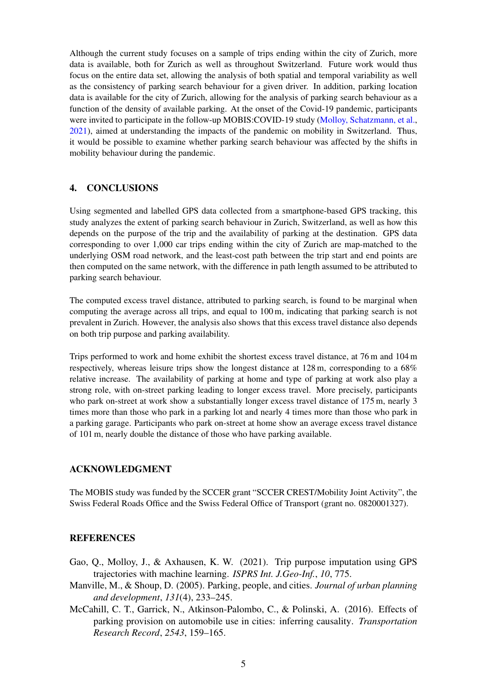Although the current study focuses on a sample of trips ending within the city of Zurich, more data is available, both for Zurich as well as throughout Switzerland. Future work would thus focus on the entire data set, allowing the analysis of both spatial and temporal variability as well as the consistency of parking search behaviour for a given driver. In addition, parking location data is available for the city of Zurich, allowing for the analysis of parking search behaviour as a function of the density of available parking. At the onset of the Covid-19 pandemic, participants were invited to participate in the follow-up MOBIS:COVID-19 study [\(Molloy, Schatzmann, et al.,](#page-5-11) [2021\)](#page-5-11), aimed at understanding the impacts of the pandemic on mobility in Switzerland. Thus, it would be possible to examine whether parking search behaviour was affected by the shifts in mobility behaviour during the pandemic.

## 4. CONCLUSIONS

Using segmented and labelled GPS data collected from a smartphone-based GPS tracking, this study analyzes the extent of parking search behaviour in Zurich, Switzerland, as well as how this depends on the purpose of the trip and the availability of parking at the destination. GPS data corresponding to over 1,000 car trips ending within the city of Zurich are map-matched to the underlying OSM road network, and the least-cost path between the trip start and end points are then computed on the same network, with the difference in path length assumed to be attributed to parking search behaviour.

The computed excess travel distance, attributed to parking search, is found to be marginal when computing the average across all trips, and equal to 100 m, indicating that parking search is not prevalent in Zurich. However, the analysis also shows that this excess travel distance also depends on both trip purpose and parking availability.

Trips performed to work and home exhibit the shortest excess travel distance, at 76 m and 104 m respectively, whereas leisure trips show the longest distance at 128 m, corresponding to a 68% relative increase. The availability of parking at home and type of parking at work also play a strong role, with on-street parking leading to longer excess travel. More precisely, participants who park on-street at work show a substantially longer excess travel distance of 175 m, nearly 3 times more than those who park in a parking lot and nearly 4 times more than those who park in a parking garage. Participants who park on-street at home show an average excess travel distance of 101 m, nearly double the distance of those who have parking available.

# ACKNOWLEDGMENT

The MOBIS study was funded by the SCCER grant "SCCER CREST/Mobility Joint Activity", the Swiss Federal Roads Office and the Swiss Federal Office of Transport (grant no. 0820001327).

#### **REFERENCES**

- <span id="page-4-2"></span>Gao, Q., Molloy, J., & Axhausen, K. W. (2021). Trip purpose imputation using GPS trajectories with machine learning. *ISPRS Int. J.Geo-Inf.*, *10*, 775.
- <span id="page-4-1"></span>Manville, M., & Shoup, D. (2005). Parking, people, and cities. *Journal of urban planning and development*, *131*(4), 233–245.
- <span id="page-4-0"></span>McCahill, C. T., Garrick, N., Atkinson-Palombo, C., & Polinski, A. (2016). Effects of parking provision on automobile use in cities: inferring causality. *Transportation Research Record*, *2543*, 159–165.